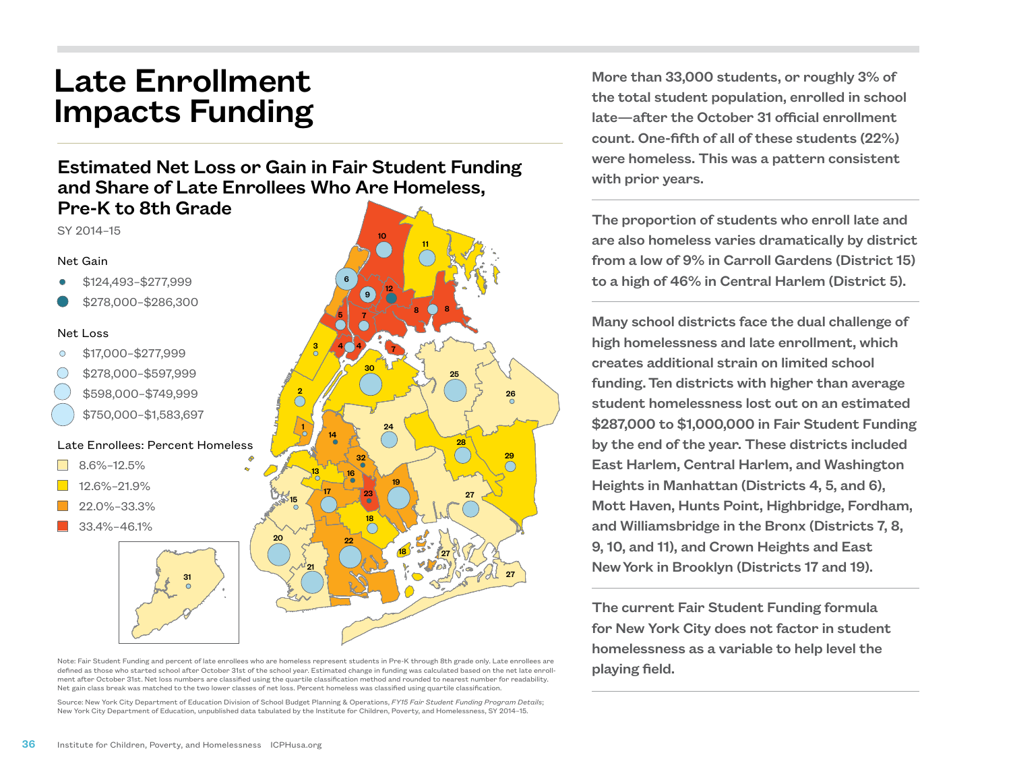# Late Enrollment Impacts Funding

## Estimated Net Loss or Gain in Fair Student Funding and Share of Late Enrollees Who Are Homeless, Pre-K to 8th Grade

SY 2014–15

#### Net Gain

- \$124,493–\$277,999
- \$278,000–\$286,300

#### Net Loss

- \$17,000–\$277,999
- \$278,000–\$597,999
	- \$598,000–\$749,999
	- \$750,000–\$1,583,697

### Late Enrollees: Percent Homeless

- $\Box$  8.6%–12.5%
- $\blacksquare$  12.6%–21.9%
- 22.0%–33.3%
- 33.4%–46.1%



Note: Fair Student Funding and percent of late enrollees who are homeless represent students in Pre-K through 8th grade only. Late enrollees are defined as those who started school after October 31st of the school year. Estimated change in funding was calculated based on the net late enrollment after October 31st. Net loss numbers are classified using the quartile classification method and rounded to nearest number for readability. Net gain class break was matched to the two lower classes of net loss. Percent homeless was classified using quartile classification.

Source: New York City Department of Education Division of School Budget Planning & Operations, *FY15 Fair Student Funding Program Details*; New York City Department of Education, unpublished data tabulated by the Institute for Children, Poverty, and Homelessness, SY 2014–15.

More than 33,000 students, or roughly 3% of the total student population, enrolled in school late—after the October 31 official enrollment count. One-fifth of all of these students (22%) were homeless. This was a pattern consistent with prior years.

The proportion of students who enroll late and are also homeless varies dramatically by district from a low of 9% in Carroll Gardens (District 15) to a high of 46% in Central Harlem (District 5).

Many school districts face the dual challenge of high homelessness and late enrollment, which creates additional strain on limited school funding. Ten districts with higher than average student homelessness lost out on an estimated \$287,000 to \$1,000,000 in Fair Student Funding by the end of the year. These districts included East Harlem, Central Harlem, and Washington Heights in Manhattan (Districts 4, 5, and 6), Mott Haven, Hunts Point, Highbridge, Fordham, and Williamsbridge in the Bronx (Districts 7, 8, 9, 10, and 11), and Crown Heights and East New York in Brooklyn (Districts 17 and 19).

The current Fair Student Funding formula for New York City does not factor in student homelessness as a variable to help level the playing field.

31